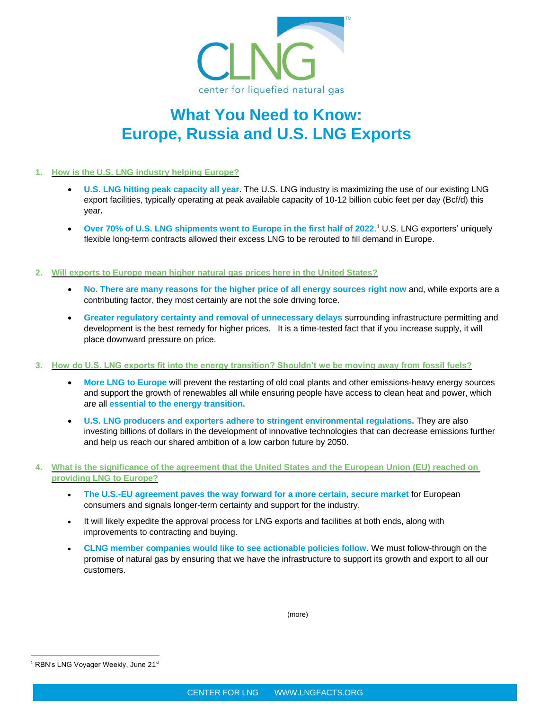

## **What You Need to Know: Europe, Russia and U.S. LNG Exports**

#### **1. How is the U.S. LNG industry helping Europe?**

- **U.S. LNG hitting peak capacity all year**. The U.S. LNG industry is maximizing the use of our existing LNG export facilities, typically operating at peak available capacity of 10-12 billion cubic feet per day (Bcf/d) this year**.**
- **Over 70% of U.S. LNG shipments went to Europe in the first half of 2022**. <sup>1</sup> U.S. LNG exporters' uniquely flexible long-term contracts allowed their excess LNG to be rerouted to fill demand in Europe.

#### **2. Will exports to Europe mean higher natural gas prices here in the United States?**

- **No. There are many reasons for the higher price of all energy sources right now** and, while exports are a contributing factor, they most certainly are not the sole driving force.
- **Greater regulatory certainty and removal of unnecessary delays** surrounding infrastructure permitting and development is the best remedy for higher prices. It is a time-tested fact that if you increase supply, it will place downward pressure on price.

#### **3. How do U.S. LNG exports fit into the energy transition? Shouldn't we be moving away from fossil fuels?**

- **More LNG to Europe** will prevent the restarting of old coal plants and other emissions-heavy energy sources and support the growth of renewables all while ensuring people have access to clean heat and power, which are all **essential to the energy transition.**
- **U.S. LNG producers and exporters adhere to stringent environmental regulations.** They are also investing billions of dollars in the development of innovative technologies that can decrease emissions further and help us reach our shared ambition of a low carbon future by 2050.
- **4. What is the significance of the agreement that the United States and the European Union (EU) reached on providing LNG to Europe?**
	- **The U.S.-EU agreement paves the way forward for a more certain, secure market** for European consumers and signals longer-term certainty and support for the industry.
	- It will likely expedite the approval process for LNG exports and facilities at both ends, along with improvements to contracting and buying.
	- **CLNG member companies would like to see actionable policies follow**. We must follow-through on the promise of natural gas by ensuring that we have the infrastructure to support its growth and export to all our customers.

(more)

<sup>&</sup>lt;sup>1</sup> RBN's LNG Voyager Weekly, June 21st